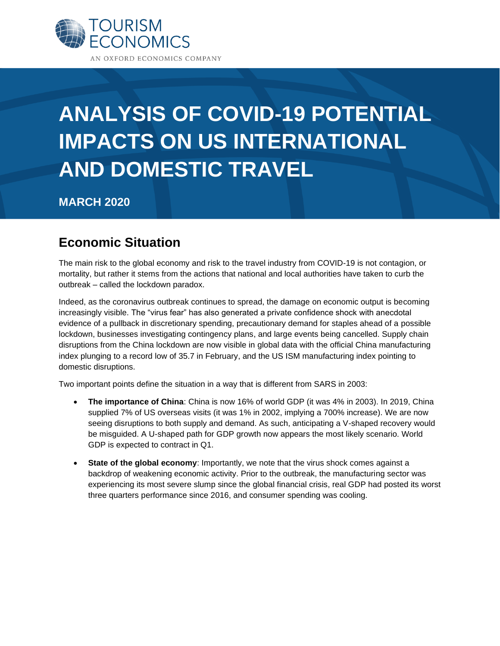

# **ANALYSIS OF COVID-19 POTENTIAL IMPACTS ON US INTERNATIONAL AND DOMESTIC TRAVEL**

**MARCH 2020**

# **Economic Situation**

The main risk to the global economy and risk to the travel industry from COVID-19 is not contagion, or mortality, but rather it stems from the actions that national and local authorities have taken to curb the outbreak – called the lockdown paradox.

Indeed, as the coronavirus outbreak continues to spread, the damage on economic output is becoming increasingly visible. The "virus fear" has also generated a private confidence shock with anecdotal evidence of a pullback in discretionary spending, precautionary demand for staples ahead of a possible lockdown, businesses investigating contingency plans, and large events being cancelled. Supply chain disruptions from the China lockdown are now visible in global data with the official China manufacturing index plunging to a record low of 35.7 in February, and the US ISM manufacturing index pointing to domestic disruptions.

Two important points define the situation in a way that is different from SARS in 2003:

- **The importance of China**: China is now 16% of world GDP (it was 4% in 2003). In 2019, China supplied 7% of US overseas visits (it was 1% in 2002, implying a 700% increase). We are now seeing disruptions to both supply and demand. As such, anticipating a V-shaped recovery would be misguided. A U-shaped path for GDP growth now appears the most likely scenario. World GDP is expected to contract in Q1.
- **State of the global economy**: Importantly, we note that the virus shock comes against a backdrop of weakening economic activity. Prior to the outbreak, the manufacturing sector was experiencing its most severe slump since the global financial crisis, real GDP had posted its worst three quarters performance since 2016, and consumer spending was cooling.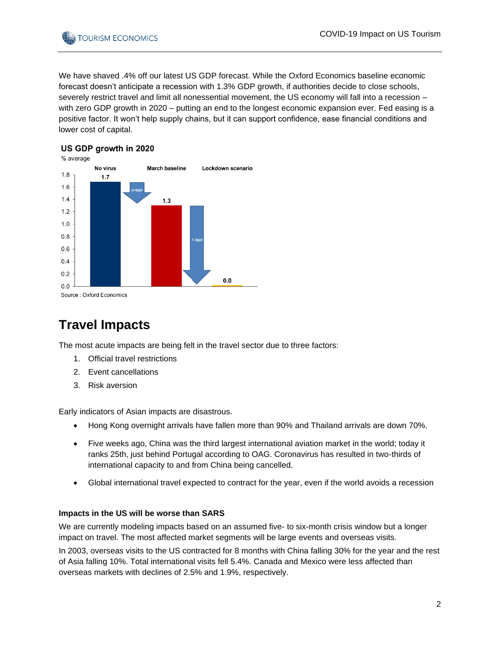

We have shaved .4% off our latest US GDP forecast. While the Oxford Economics baseline economic forecast doesn't anticipate a recession with 1.3% GDP growth, if authorities decide to close schools, severely restrict travel and limit all nonessential movement, the US economy will fall into a recession with zero GDP growth in 2020 – putting an end to the longest economic expansion ever. Fed easing is a positive factor. It won't help supply chains, but it can support confidence, ease financial conditions and lower cost of capital.

### US GDP growth in 2020



### **Travel Impacts**

The most acute impacts are being felt in the travel sector due to three factors:

- 1. Official travel restrictions
- 2. Event cancellations
- 3. Risk aversion

Early indicators of Asian impacts are disastrous.

- Hong Kong overnight arrivals have fallen more than 90% and Thailand arrivals are down 70%.
- Five weeks ago, China was the third largest international aviation market in the world; today it ranks 25th, just behind Portugal according to OAG. Coronavirus has resulted in two-thirds of international capacity to and from China being cancelled.
- Global international travel expected to contract for the year, even if the world avoids a recession

### **Impacts in the US will be worse than SARS**

We are currently modeling impacts based on an assumed five- to six-month crisis window but a longer impact on travel. The most affected market segments will be large events and overseas visits.

In 2003, overseas visits to the US contracted for 8 months with China falling 30% for the year and the rest of Asia falling 10%. Total international visits fell 5.4%. Canada and Mexico were less affected than overseas markets with declines of 2.5% and 1.9%, respectively.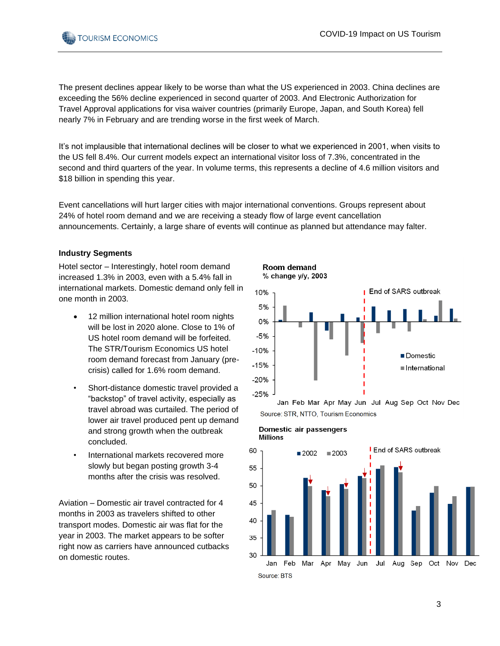

The present declines appear likely to be worse than what the US experienced in 2003. China declines are exceeding the 56% decline experienced in second quarter of 2003. And Electronic Authorization for Travel Approval applications for visa waiver countries (primarily Europe, Japan, and South Korea) fell nearly 7% in February and are trending worse in the first week of March.

It's not implausible that international declines will be closer to what we experienced in 2001, when visits to the US fell 8.4%. Our current models expect an international visitor loss of 7.3%, concentrated in the second and third quarters of the year. In volume terms, this represents a decline of 4.6 million visitors and \$18 billion in spending this year.

Event cancellations will hurt larger cities with major international conventions. Groups represent about 24% of hotel room demand and we are receiving a steady flow of large event cancellation announcements. Certainly, a large share of events will continue as planned but attendance may falter.

### **Industry Segments**

Hotel sector – Interestingly, hotel room demand increased 1.3% in 2003, even with a 5.4% fall in international markets. Domestic demand only fell in one month in 2003.

- 12 million international hotel room nights will be lost in 2020 alone. Close to 1% of US hotel room demand will be forfeited. The STR/Tourism Economics US hotel room demand forecast from January (precrisis) called for 1.6% room demand.
- Short-distance domestic travel provided a "backstop" of travel activity, especially as travel abroad was curtailed. The period of lower air travel produced pent up demand and strong growth when the outbreak concluded.
- International markets recovered more slowly but began posting growth 3-4 months after the crisis was resolved.

Aviation – Domestic air travel contracted for 4 months in 2003 as travelers shifted to other transport modes. Domestic air was flat for the year in 2003. The market appears to be softer right now as carriers have announced cutbacks on domestic routes.



Jan Feb Mar Apr May Jun Jul Aug Sep Oct Nov Dec Source: STR, NTTO, Tourism Economics

**Domestic air passengers Millions** 

Room demand

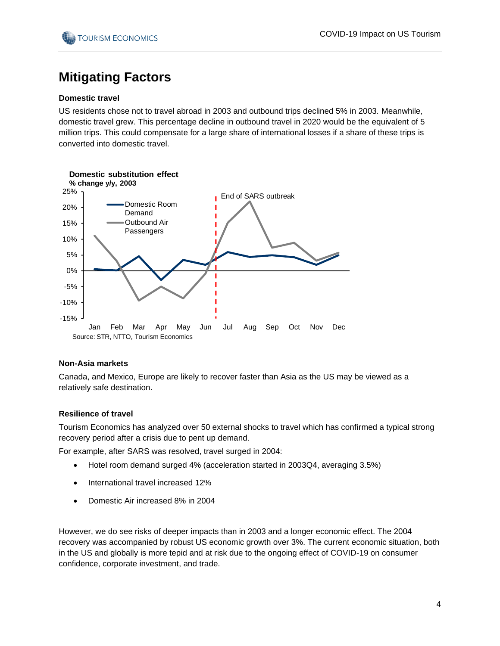

# **Mitigating Factors**

#### **Domestic travel**

US residents chose not to travel abroad in 2003 and outbound trips declined 5% in 2003. Meanwhile, domestic travel grew. This percentage decline in outbound travel in 2020 would be the equivalent of 5 million trips. This could compensate for a large share of international losses if a share of these trips is converted into domestic travel.



### **Non-Asia markets**

Canada, and Mexico, Europe are likely to recover faster than Asia as the US may be viewed as a relatively safe destination.

### **Resilience of travel**

Tourism Economics has analyzed over 50 external shocks to travel which has confirmed a typical strong recovery period after a crisis due to pent up demand.

For example, after SARS was resolved, travel surged in 2004:

- Hotel room demand surged 4% (acceleration started in 2003Q4, averaging 3.5%)
- International travel increased 12%
- Domestic Air increased 8% in 2004

However, we do see risks of deeper impacts than in 2003 and a longer economic effect. The 2004 recovery was accompanied by robust US economic growth over 3%. The current economic situation, both in the US and globally is more tepid and at risk due to the ongoing effect of COVID-19 on consumer confidence, corporate investment, and trade.